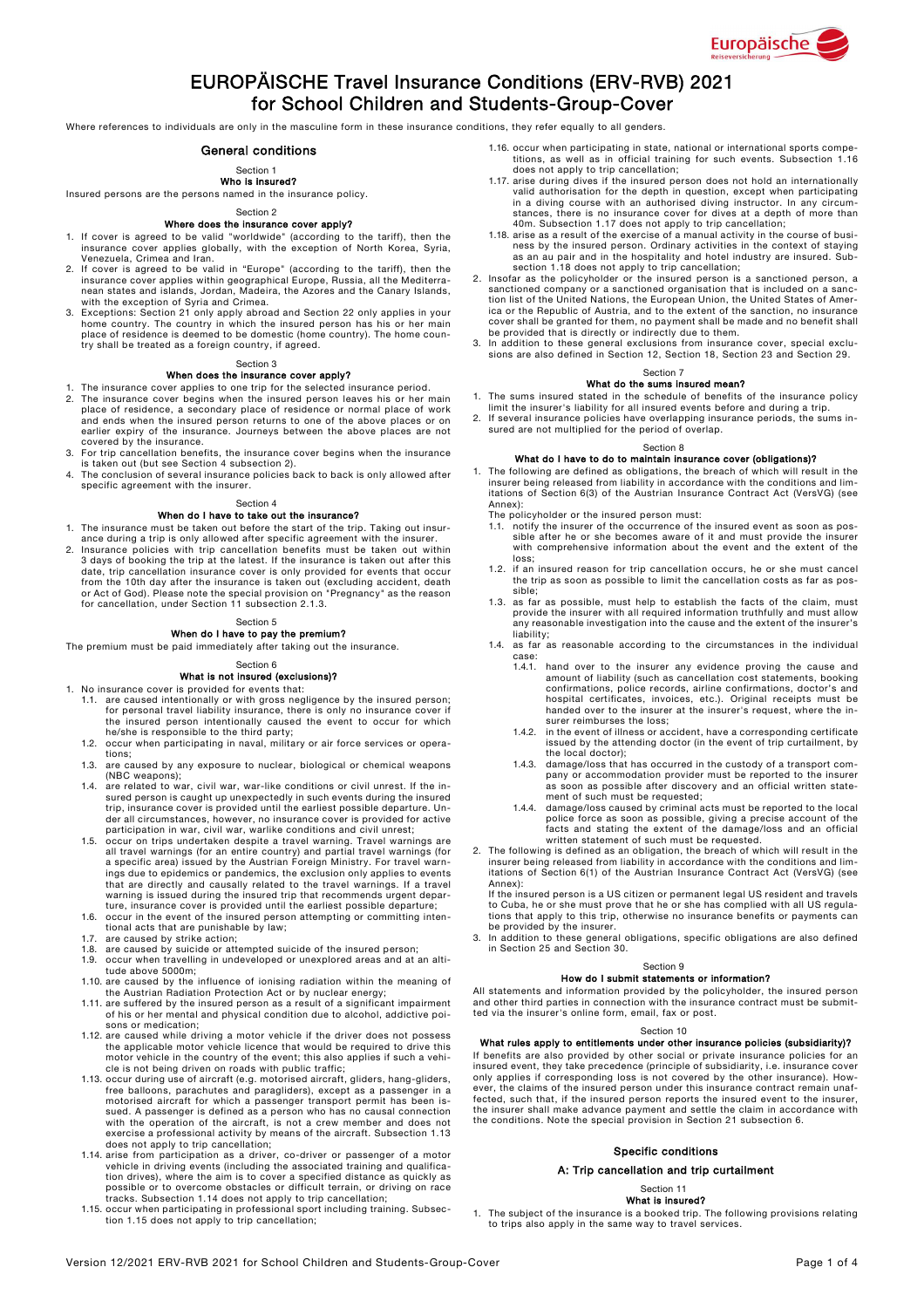

# EUROPÄISCHE Travel Insurance Conditions (ERV-RVB) 2021 for School Children and Students-Group-Cover

Where references to individuals are only in the masculine form in these insurance conditions, they refer equally to all genders.

## General conditions

## Section 1

Who is insured?

Insured persons are the persons named in the insurance policy.

#### Section 2 Where does the insurance cover apply?

- 1. If cover is agreed to be valid "worldwide" (according to the tariff), then the insurance cover applies globally, with the exception of North Korea, Syria, Venezuela, Crimea and Iran.
- 2. If cover is agreed to be valid in "Europe" (according to the tariff), then the insurance cover applies within geographical Europe, Russia, all the Mediterra-<br>nean states and islands, Jordan, Madeira, the Azores and the
- 3. Exceptions: Section 21 only apply abroad and Section 22 only applies in your home country. The country in which the insured person has his or her main place of residence is deemed to be domestic (home country). The home

# Section 3

# When does the insurance cover apply?

- 1. The insurance cover applies to one trip for the selected insurance period.<br>2. The insurance cover begins when the insured person leaves his or her r The insurance cover begins when the insured person leaves his or her main place of residence, a secondary place of residence or normal place of work and ends when the insured person returns to one of the above places or on earlier expiry of the insurance. Journeys between the above places are not
- covered by the insurance. 3. For trip cancellation benefits, the insurance cover begins when the insurance is taken out (but see Section 4 subsection 2).
- The conclusion of several insurance policies back to back is only allowed after specific agreement with the insurer.

# Section 4

- When do I have to take out the insurance?
- 1. The insurance must be taken out before the start of the trip. Taking out insur-
- ance during a trip is only allowed after specific agreement with the insurer.<br>2. Insurance policies with trip cancellation benefits must be taken out within<br>3 days of booking the trip at the latest. If the insurance is tak from the 10th day after the insurance is taken out (excluding accident, death or Act of God). Please note the special provision on "Pregnancy" as the reason for cancellation, under Section 11 subsection 2.1.3.

# Section 5

# When do I have to pay the premium?

The premium must be paid immediately after taking out the insurance.

#### Section 6

# What is not insured (exclusions)?

- 1. No insurance cover is provided for events that:<br>1.1. are caused intentionally or with gross nego 1.1. are caused intentionally or with gross negligence by the insured person; for personal travel liability insurance, there is only no insurance cover if
	- the insured person intentionally caused the event to occur for which he/she is responsible to the third party; 1.2. occur when participating in naval, military or air force services or opera-tions;
	- 1.3. are caused by any exposure to nuclear, biological or chemical weapons (NBC weapons);
	- 1.4. are related to war, civil war, war-like conditions or civil unrest. If the insured person is caught up unexpectedly in such events during the insured person is caught up unexpectedly in such events during the insured trip, insurance cover is provided until the earliest possible departure. Un-der all circumstances, however, no insurance cover is provided for active
	- participation in war, civil war, warlike conditions and civil unrest;<br>1.5. occur on trips undertaken despite a travel warning. Travel warnings are<br>all travel warnings (for an entire country) and partial travel warnings (fo ings due to epidemics or pandemics, the exclusion only applies to events that are directly and causally related to the travel warnings. If a travel warning is issued during the insured trip that recommends urgent depar-
	- ture, insurance cover is provided until the earliest possible departure; 1.6. occur in the event of the insured person attempting or committing intentional acts that are punishable by law;
	- 1.7. are caused by strike action;
	- 1.8. are caused by suicide or attempted suicide of the insured person; 1.9. occur when travelling in undeveloped or unexplored areas and at an alti-
	-
	- tude above 5000m;<br>1.10. are caused by the influence of ionising radiation within the meaning of<br>the Austrian Radiation Protection Act or by nuclear energy;<br>1.11. are suffered by the insured person as a result of a signific
	- of his or her mental and physical condition due to alcohol, addictive poisons or medication;
	- 1.12. are caused while driving a motor vehicle if the driver does not possess the applicable motor vehicle licence that would be required to drive this motor vehicle in the country of the event; this also applies if such a vehi-cle is not being driven on roads with public traffic;
	- 1.13. occur during use of aircraft (e.g. motorised aircraft, gliders, hang-gliders, free balloons, parachutes and paragliders), except as a passenger in a motorised aircraft for which a passenger transport permit has been is-sued. A passenger is defined as a person who has no causal connection with the operation of the aircraft, is not a crew member and does not exercise a professional activity by means of the aircraft. Subsection 1.13
	- does not apply to trip cancellation;<br>1.14. arise from participation as a driver, co-driver or passenger of a motor<br>vehicle in driving events (including the associated training and qualifica-<br>tion drives), where the aim is possible or to overcome obstacles or difficult terrain, or driving on race tracks. Subsection 1.14 does not apply to trip cancellation;
	- 1.15. occur when participating in professional sport including training. Subsection 1.15 does not apply to trip cancellation;
- 1.16. occur when participating in state, national or international sports competitions, as well as in official training for such events. Subsection 1.16 does not apply to trip cancellation;
- 1.17. arise during dives if the insured person does not hold an internationally valid authorisation for the depth in question, except when participating in a diving course with an authorised diving instructor. In any circum-<br>stances, there is no insurance cover for dives at a depth of more than<br>40m. Subsection 1.17 does not apply to trip cancellation;
- 1.18. arise as a result of the exercise of a manual activity in the course of business by the insured person. Ordinary activities in the context of staying as an au pair and in the hospitality and hotel industry are insured. Sub-
- section 1.18 does not apply to trip cancellation;<br>2. Insofar as the policyholder or the insured person is a sanctioned person, a<br>sanctioned company or a sanctioned organisation that is included on a sanc-<br>tion list of the ica or the Republic of Austria, and to the extent of the sanction, no insurance cover shall be granted for them, no payment shall be made and no benefit shall be provided that is directly or indirectly due to them.
- 3. In addition to these general exclusions from insurance cover, special exclu-sions are also defined in Section 12, Section 18, Section 23 and Section 29.

#### Section 7

## What do the sums insured mean?

- The sums insured stated in the schedule of benefits of the insurance policy
- limit the insurer's liability for all insured events before and during a trip. 2. If several insurance policies have overlapping insurance periods, the sums insured are not multiplied for the period of overlap.

## Section 8

What do I have to do to maintain insurance cover (obligations)?

1. The following are defined as obligations, the breach of which will result in the insurer being released from liability in accordance with the conditions and limitations of Section 6(3) of the Austrian Insurance Contract Act (VersVG) (see Annex): The policyholder or the insured person must:

- 
- 1.1. notify the insurer of the occurrence of the insured event as soon as pos-sible after he or she becomes aware of it and must provide the insurer with comprehensive information about the event and the extent of the loss;
- 1.2. if an insured reason for trip cancellation occurs, he or she must cancel the trip as soon as possible to limit the cancellation costs as far as possible;
- 1.3. as far as possible, must help to establish the facts of the claim, must provide the insurer with all required information truthfully and must allow any reasonable investigation into the cause and the extent of the insurer's
- liability; 1.4. as far as reasonable according to the circumstances in the individual case:
	- 1.4.1. hand over to the insurer any evidence proving the cause and amount of liability (such as cancellation cost statements, booking confirmations, police records, airline confirmations, doctor's and hospital certificates, invoices, etc.). Original receipts must be handed over to the insurer at the insurer's request, where the insurer reimburses the loss;
	- 1.4.2. in the event of illness or accident, have a corresponding certificate issued by the attending doctor (in the event of trip curtailment, by the local doctor); 1.4.3. damage/loss that has occurred in the custody of a transport com-
	- pany or accommodation provider must be reported to the insurer as soon as possible after discovery and an official written state-ment of such must be requested; 1.4.4. damage/loss caused by criminal acts must be reported to the local
	- police force as soon as possible, giving a precise account of the facts and stating the extent of the damage/loss and an official written statement of such must be requested.
- 2. The following is defined as an obligation, the breach of which will result in the insurer being released from liability in accordance with the conditions and lim-<br>itations of Section 6(1) of the Austrian Insurance Contr Annex):

If the insured person is a US citizen or permanent legal US resident and travels to Cuba, he or she must prove that he or she has complied with all US regula-tions that apply to this trip, otherwise no insurance benefits or payments can

be provided by the insurer. 3. In addition to these general obligations, specific obligations are also defined in Section 25 and Section 30.

#### Section 9 How do I submit statements or information?

All statements and information provided by the policyholder, the insured person and other third parties in connection with the insurance contract must be submitted via the insurer's online form, email, fax or post.

#### Section 10 What rules apply to entitlements under other insurance policies (subsidiarity)?

If benefits are also provided by other social or private insurance policies for an insured event, they take precedence (principle of subsidiarity, i.e. insurance cover only applies if corresponding loss is not covered by the other insurance). However, the claims of the insured person under this insurance contract remain unaf-fected, such that, if the insured person reports the insured event to the insurer, the insurer shall make advance payment and settle the claim in accordance with the conditions. Note the special provision in Section 21 subsection 6.

## Specific conditions

## A: Trip cancellation and trip curtailment

#### Section 11 What is insured?

1. The subject of the insurance is a booked trip. The following provisions relating to trips also apply in the same way to travel services.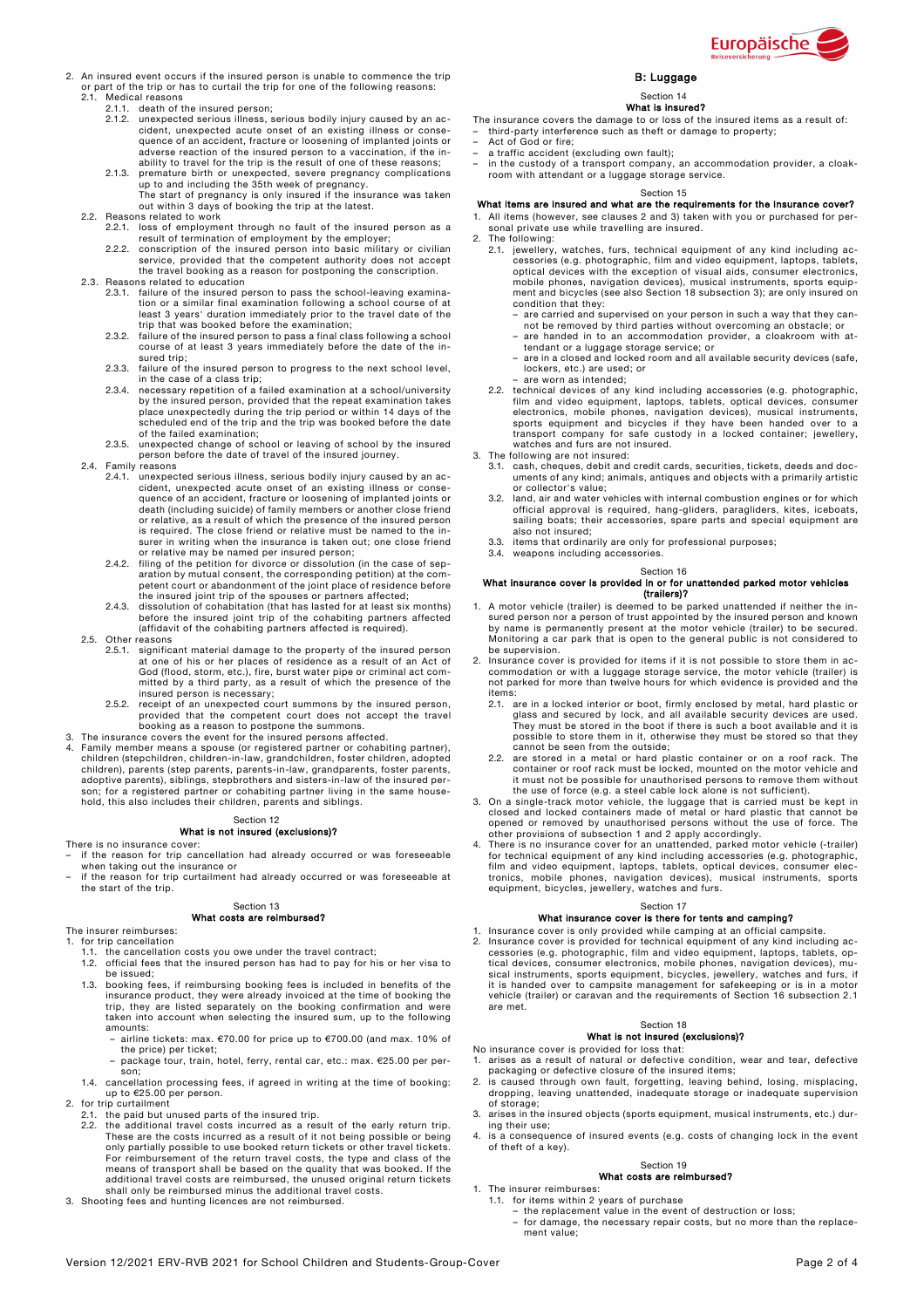

- 2. An insured event occurs if the insured person is unable to commence the trip or part of the trip or has to curtail the trip for one of the following reasons: 2.1. Medical reasons
	-
	- 2.1.1. death of the insured person; 2.1.2. unexpected serious illness, serious bodily injury caused by an accident, unexpected acute onset of an existing illness or consequence of an accident, fracture or loosening of implanted joints or adverse reaction of the insured person to a vaccination, if the in-
	- ability to travel for the trip is the result of one of these reasons;<br>2.1.3. premature birth or unexpected, severe pregnancy complications<br>up to and including the 35th week of pregnancy.<br>The start of pregnancy is only insu

- 2.2. Reasons related to work 2.2.1. loss of employment through no fault of the insured person as a
	- result of termination of employment by the employer; 2.2.2. conscription of the insured person into basic military or civilian service, provided that the competent authority does not accept the travel booking as a reason for postponing the conscription.
- 
- 2.3. Reasons related to education 2.3.1. failure of the insured person to pass the school-leaving examination or a similar final examination following a school course of at least 3 years' duration immediately prior to the travel date of the trip that was booked before the examination; 2.3.2. failure of the insured person to pass a final class following a school
	- course of at least 3 years immediately before the date of the insured trip; 2.3.3. failure of the insured person to progress to the next school level,
	- in the case of a class trip;
	- 2.3.4. necessary repetition of a failed examination at a school/university by the insured person, provided that the repeat examination takes place unexpectedly during the trip period or within 14 days of the scheduled end of the trip and the trip was booked before the date of the failed examination;
	- 2.3.5. unexpected change of school or leaving of school by the insured person before the date of travel of the insured journey.
- 2.4. Family reasons
	- 2.4.1. unexpected serious illness, serious bodily injury caused by an accident, unexpected acute onset of an existing illness or consequence of an accident, fracture or loosening of implanted joints or death (including suicide) of family members or another close friend or relative, as a result of which the presence of the insured person<br>is required. The close friend or relative must be named to the in-<br>surer in writing when the insurance is taken out; one close friend or relative may be named per insured person;
	- 2.4.2. filing of the petition for divorce or dissolution (in the case of separation by mutual consent, the corresponding petition) at the com-petent court or abandonment of the joint place of residence before
	- the insured joint trip of the spouses or partners affected; 2.4.3. dissolution of cohabitation (that has lasted for at least six months) before the insured joint trip of the cohabiting partners affected (affidavit of the cohabiting partners affected is required).
- 2.5. Other reasons
	- 2.5.1. significant material damage to the property of the insured person at one of his or her places of residence as a result of an Act of<br>God (flood, storm, etc.), fire, burst water pipe or criminal act com-<br>mitted by a third party, as a result of which the presence of the<br>insured person is ne
	- 2.5.2. receipt of an unexpected court summons by the insured person, provided that the competent court does not accept the travel
- booking as a reason to postpone the summons. 3. The insurance covers the event for the insured persons affected.
- 4. Family member means a spouse (or registered partner or cohabiting partner), children (stepchildren, children-in-law, grandchildren, foster children, adopted children), parents (step parents, parents-in-law, grandparents, foster parents, adoptive parents), siblings, stepbrothers and sisters-in-law of the insured person; for a registered partner or cohabiting partner living in the same house-hold, this also includes their children, parents and siblings.

#### Section 12 What is not insured (exclusions)?

#### There is no insurance cover:

- if the reason for trip cancellation had already occurred or was foreseeable
- when taking out the insurance or if the reason for trip curtailment had already occurred or was foreseeable at the start of the trip.

# Section 13

## What costs are reimbursed?

The insurer reimburses: for trip cancellation

- 
- 1.1. the cancellation costs you owe under the travel contract;<br>1.2. official fees that the insured person has had to pay for h official fees that the insured person has had to pay for his or her visa to be issued;
- 1.3. booking fees, if reimbursing booking fees is included in benefits of the insurance product, they were already invoiced at the time of booking the<br>trip, they are listed separately on the booking confirmation and were<br>taken into account when selecting the insured sum, up to the following amounts:
	- airline tickets: max.  $\epsilon$ 70.00 for price up to  $\epsilon$ 700.00 (and max. 10% of the price) per ticket; – package tour, train, hotel, ferry, rental car, etc.: max. €25.00 per per-
- son; 1.4. cancellation processing fees, if agreed in writing at the time of booking:
- up to €25.00 per person. 2. for trip curtailment
- - 2.1. the paid but unused parts of the insured trip. 2.2. the additional travel costs incurred as a result of the early return trip.
	- These are the costs incurred as a result of it not being possible or being<br>only partially possible to use booked return tickets or other travel tickets.<br>For reimbursement of the return travel costs, the type and class of t additional travel costs are reimbursed, the unused original return tickets shall only be reimbursed minus the additional travel costs.
- 3. Shooting fees and hunting licences are not reimbursed.

# B: Luggage

#### Section 14 What is insured?

- The insurance covers the damage to or loss of the insured items as a result of:
- third-party interference such as theft or damage to property;
- Act of God or fire; a traffic accident (excluding own fault);
- in the custody of a transport company, an accommodation provider, a cloak-room with attendant or a luggage storage service.

#### Section 15

## What items are insured and what are the requirements for the insurance cover?

1. All items (however, see clauses 2 and 3) taken with you or purchased for personal private use while travelling are insured.

- 2. The following:
	- 2.1. jewellery, watches, furs, technical equipment of any kind including accessories (e.g. photographic, film and video equipment, laptops, tablets,<br>optical devices with the exception of visual aids, consumer electronics,<br>mobile phones, navigation devices), musical instruments, sports equip-<br>ment condition that they:
		- are carried and supervised on your person in such a way that they cannot be removed by third parties without overcoming an obstacle; or – are handed in to an accommodation provider, a cloakroom with at-
		- tendant or a luggage storage service; or are in a closed and locked room and all available security devices (safe,
		- lockers, etc.) are used; or are worn as intended;
		-
	- 2.2. technical devices of any kind including accessories (e.g. photographic, film and video equipment, laptops, tablets, optical devices, consumer electronics, mobile phones, navigation devices), musical instruments,<br>sports equipment and bicycles if they have been handed over to a<br>transport company for safe custody in a locked container; jewellery, watches and furs are not insured.
	-
- 3. The following are not insured: 3.1. cash, cheques, debit and credit cards, securities, tickets, deeds and documents of any kind; animals, antiques and objects with a primarily artistic or collector's value;
	- 3.2. land, air and water vehicles with internal combustion engines or for which official approval is required, hang-gliders, paragliders, kites, iceboats, sailing boats; their accessories, spare parts and special equipment are also not insured;
	- 3.3. items that ordinarily are only for professional purposes;
	- weapons including accessories.
	- Section 16

# What insurance cover is provided in or for unattended parked motor vehicles (trailers)?

- 1. A motor vehicle (trailer) is deemed to be parked unattended if neither the insured person nor a person of trust appointed by the insured person and known by name is permanently present at the motor vehicle (trailer) to be secured. Monitoring a car park that is open to the general public is not considered to be supervision.
- 2. Insurance cover is provided for items if it is not possible to store them in accommodation or with a luggage storage service, the motor vehicle (trailer) is not parked for more than twelve hours for which evidence is provided and the
	- items:<br>2.1. are in a locked interior or boot, firmly enclosed by metal, hard plastic or<br>glass and secured by lock, and all available security devices are used.<br>They must be stored in the boot if there is such a boot availa
	- cannot be seen from the outside;<br>2.2. are stored in a metal or hard plastic container or on a roof rack. The<br>container or roof rack must be locked, mounted on the motor vehicle and
- it must not be possible for unauthorised persons to remove them without<br>the use of force (e.g. a steel cable lock alone is not sufficient).<br>3. On a single-track motor vehicle, the luggage that is carried must be kept in<br>cl opened or removed by unauthorised persons without the use of force. The<br>other provisions of subsection 1 and 2 apply accordingly.<br>4. There is no insurance cover for an unattended, parked motor vehicle (-trailer)
- for technical equipment of any kind including accessories (e.g. photographic,<br>film and video equipment, laptops, tablets, optical devices, consumer elec-<br>tronics, mobile phones, navigation devices), musical instruments, sp equipment, bicycles, jewellery, watches and furs.

### Section 17

### What insurance cover is there for tents and camping?

- 1. Insurance cover is only provided while camping at an official campsite. 2. Insurance cover is provided for technical equipment of any kind including ac-
- cessories (e.g. photographic, film and video equipment, laptops, tablets, op-tical devices, consumer electronics, mobile phones, navigation devices), musical instruments, sports equipment, bicycles, jewellery, watches and furs, if<br>it is handed over to campsite management for safekeeping or is in a motor<br>vehicle (trailer) or caravan and the requirements of Section 16 subse are met.

## Section 18 What is not insured (exclusions)?

- No insurance cover is provided for loss that: 1. arises as a result of natural or defective condition, wear and tear, defective
- packaging or defective closure of the insured items; 2. is caused through own fault, forgetting, leaving behind, losing, misplacing, dropping, leaving unattended, inadequate storage or inadequate supervision of storage;
- arises in the insured objects (sports equipment, musical instruments, etc.) during their use;
- 4. is a consequence of insured events (e.g. costs of changing lock in the event of theft of a key).

### Section 19

#### What costs are reimbursed?

- 1. The insurer reimburses: 1.1. for items within 2 years of purchase
	- the replacement value in the event of destruction or loss;
	- for damage, the necessary repair costs, but no more than the replacement value: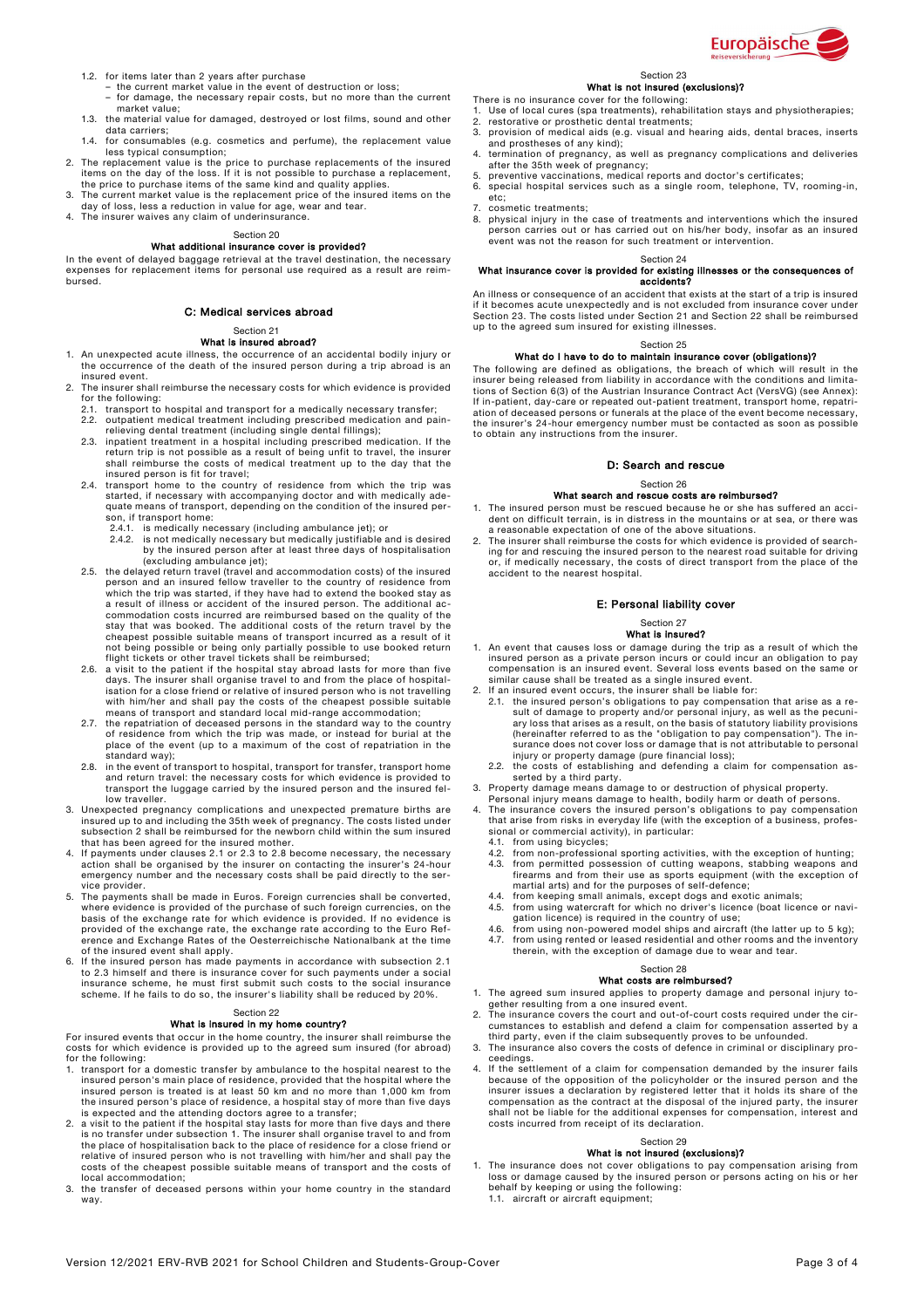

- 1.2. for items later than 2 years after purchase the current market value in the event of destruction or loss;
	- for damage, the necessary repair costs, but no more than the current market value;
- 1.3. the material value for damaged, destroyed or lost films, sound and other data carriers;
- 1.4. for consumables (e.g. cosmetics and perfume), the replacement value less typical consumption;
- 2. The replacement value is the price to purchase replacements of the insured items on the day of the loss. If it is not possible to purchase a replacement, the price to purchase items of the same kind and quality applies.
- 3. The current market value is the replacement price of the insured items on the
- day of loss, less a reduction in value for age, wear and tear. 4. The insurer waives any claim of underinsurance.

Section 20

# What additional insurance cover is provided?

In the event of delayed baggage retrieval at the travel destination, the necessary expenses for replacement items for personal use required as a result are reimbursed.

## C: Medical services abroad

#### Section 21 What is insured abroad?

- 1. An unexpected acute illness, the occurrence of an accidental bodily injury or the occurrence of the death of the insured person during a trip abroad is an insured event.
- The insurer shall reimburse the necessary costs for which evidence is provided for the following: 2.1. transport to hospital and transport for a medically necessary transfer;
	- 2.1. transport to hospital and transport for a medically necessary transfer;<br>2.2. outpatient medical treatment including prescribed medication and pain-
	- relieving dental treatment (including single dental fillings);<br>2.3. inpatient treatment in a hospital including prescribed medication. If the<br>return trip is not possible as a result of being unfit to travel, the insurer shall reimburse the costs of medical treatment up to the day that the
	- insured person is fit for travel; 2.4. transport home to the country of residence from which the trip was started, if necessary with accompanying doctor and with medically ade-quate means of transport, depending on the condition of the insured person, if transport home:
		-
	- 2.4.1. is medically necessary (including ambulance jet); or<br>2.4.2. is not medically necessary but medically justifiable and is desired<br>by the insured person after at least three days of hospitalisation (excluding ambulance jet); 2.5. the delayed return travel (travel and accommodation costs) of the insured
	- person and an insured fellow traveller to the country of residence from which the trip was started, if they have had to extend the booked stay as a result of illness or accident of the insured person. The additional ac-commodation costs incurred are reimbursed based on the quality of the stay that was booked. The additional costs of the return travel by the cheapest possible suitable means of transport incurred as a result of it
	- not being possible or being only partially possible to use booked return<br>flight tickets or other travel tickets shall be reimbursed;<br>2.6. a visit to the patient if the hospital stay abroad lasts for more than five<br>days. Th isation for a close friend or relative of insured person who is not travelling with him/her and shall pay the costs of the cheapest possible suitable
	- means of transport and standard local mid-range accommodation; 2.7. the repatriation of deceased persons in the standard way to the country of residence from which the trip was made, or instead for burial at the place of the event (up to a maximum of the cost of repatriation in the standard way);
	- 2.8. in the event of transport to hospital, transport for transfer, transport home and return travel: the necessary costs for which evidence is provided to transport the luggage carried by the insured person and the insured fellow traveller.
- 3. Unexpected pregnancy complications and unexpected premature births are insured up to and including the 35th week of pregnancy. The costs listed under subsection 2 shall be reimbursed for the newborn child within the sum
- 4. If payments under clauses 2.1 or 2.3 to 2.8 become necessary, the necessary action shall be organised by the insurer on contacting the insurer's 24-hour<br>emergency number and the necessary costs shall be paid directly to vice provider.
- 5. The payments shall be made in Euros. Foreign currencies shall be converted, where evidence is provided of the purchase of such foreign currencies, on the basis of the exchange rate for which evidence is provided. If no evidence is provided of the exchange rate, the exchange rate according to the Euro Reference and Exchange Rates of the Oesterreichische Nationalbank at the time of the insured event shall apply.
- 6. If the insured person has made payments in accordance with subsection 2.1<br>to 2.3 himself and there is insurance cover for such payments under a social<br>insurance scheme, he must first submit such costs to the social insu scheme. If he fails to do so, the insurer's liability shall be reduced by 20%.

# Section 22

## What is insured in my home country?

For insured events that occur in the home country, the insurer shall reimburse the costs for which evidence is provided up to the agreed sum insured (for abroad) for the following:

- 1. transport for a domestic transfer by ambulance to the hospital nearest to the insured person's main place of residence, provided that the hospital where the<br>insured person is treated is at least 50 km and no more than 1,000 km from<br>the insured person's place of residence, a hospital stay of more tha
- 2. a visit to the patient if the hospital stay lasts for more than five days and there is no transfer under subsection 1. The insurer shall organise travel to and from the place of hospitalisation back to the place of residence for a close friend or relative of insured person who is not travelling with him/her and shall pay the costs of the cheapest possible suitable means of transport and the costs of local accommodation;
- 3. the transfer of deceased persons within your home country in the standard way.

#### Section 23 What is not insured (exclusions)?

- 
- 
- There is no insurance cover for the following:<br>1. Use of local cures (spa treatments), rehabilitation stays and physiotherapies;<br>2. restorative or prosthetic dental treatments; 3. provision of medical aids (e.g. visual and hearing aids, dental braces, inserts
- and prostheses of any kind); 4. termination of pregnancy, as well as pregnancy complications and deliveries
- after the 35th week of pregnancy; 5. preventive vaccinations, medical reports and doctor's certificates;
	- 6. special hospital services such as a single room, telephone, TV, rooming-in, etc;
	- 7. cosmetic treatments;<br>8. physical injury in the
	- 8. physical injury in the case of treatments and interventions which the insured person carries out or has carried out on his/her body, insofar as an insured event was not the reason for such treatment or intervention.

#### Section 24

# What insurance cover is provided for existing illnesses or the consequences of accidents?

An illness or consequence of an accident that exists at the start of a trip is insured<br>If it becomes acute unexpectedly and is not excluded from insurance cover under<br>Section 23. The costs listed under Section 21 and Secti up to the agreed sum insured for existing illnesses.

#### Section 25

# What do I have to do to maintain insurance cover (obligations)?

The following are defined as obligations, the breach of which will result in the insurer being released from liability in accordance with the conditions and limitations of Section 6(3) of the Austrian Insurance Contract Act (VersVG) (see Annex):<br>If in-patient, day-care or repeated out-patient treatment, transport home, repatri-<br>ation of deceased persons or funerals at the place of t to obtain any instructions from the insurer.

## D: Search and rescue

### Section 26 What search and rescue costs are reimbursed?

1. The insured person must be rescued because he or she has suffered an accident on difficult terrain, is in distress in the mountains or at sea, or there was

a reasonable expectation of one of the above situations. 2. The insurer shall reimburse the costs for which evidence is provided of search-ing for and rescuing the insured person to the nearest road suitable for driving or, if medically necessary, the costs of direct transport from the place of the accident to the nearest hospital.

## E: Personal liability cover

### Section 27 What is insured?

- 1. An event that causes loss or damage during the trip as a result of which the insured person as a private person incurs or could incur an obligation to pay<br>compensation is an insured event. Several loss events based on t similar cause shall be treated as a single insured event.
- 
- 2. If an insured event occurs, the insurer shall be liable for: 2.1. the insured person's obligations to pay compensation that arise as a re-sult of damage to property and/or personal injury, as well as the pecuniary loss that arises as a result, on the basis of statutory liability provisions<br>(hereinafter referred to as the "obligation to pay compensation"). The in-<br>surance does not cover loss or damage that is not attributable to
- injury or property damage (pure financial loss); 2.2. the costs of establishing and defending a claim for compensation as-serted by a third party.
- 
- 3. Property damage means damage to or destruction of physical property.<br>Personal injury means damage to health, bodily harm or death of persons.<br>4. The insurance covers the insured person's obligations to pay compensation<br>
	- sional or commercial activity), in particular: 4.1. from using bicycles;
	- 4.2. from non-professional sporting activities, with the exception of hunting;
	- 4.3. from permitted possession of cutting weapons, stabbing weapons and firearms and from their use as sports equipment (with the exception of martial arts) and for the purposes of self-defence;
	- 4.4. from keeping small animals, except dogs and exotic animals; 4.5. from using watercraft for which no driver's licence (boat licence or navi-
	- gation licence) is required in the country of use; 4.6. from using non-powered model ships and aircraft (the latter up to 5 kg);
	- 4.7. from using rented or leased residential and other rooms and the inventory therein, with the exception of damage due to wear and tear.

#### Section 28 What costs are reimbursed?

- 1. The agreed sum insured applies to property damage and personal injury to-
- gether resulting from a one insured event. 2. The insurance covers the court and out-of-court costs required under the circumstances to establish and defend a claim for compensation asserted by a
- third party, even if the claim subsequently proves to be unfounded. 3. The insurance also covers the costs of defence in criminal or disciplinary proceedings.
- 4. If the settlement of a claim for compensation demanded by the insurer fails because of the opposition of the policyholder or the insured person and the insurer issues a declaration by registered letter that it holds its share of the compensation as the contract at the disposal of the injured party, the insurer shall not be liable for the additional expenses for compensation, interest and costs incurred from receipt of its declaration.

### Section 29 What is not insured (exclusions)?

1. The insurance does not cover obligations to pay compensation arising from loss or damage caused by the insured person or persons acting on his or her behalf by keeping or using the following: 1.1. aircraft or aircraft equipment;